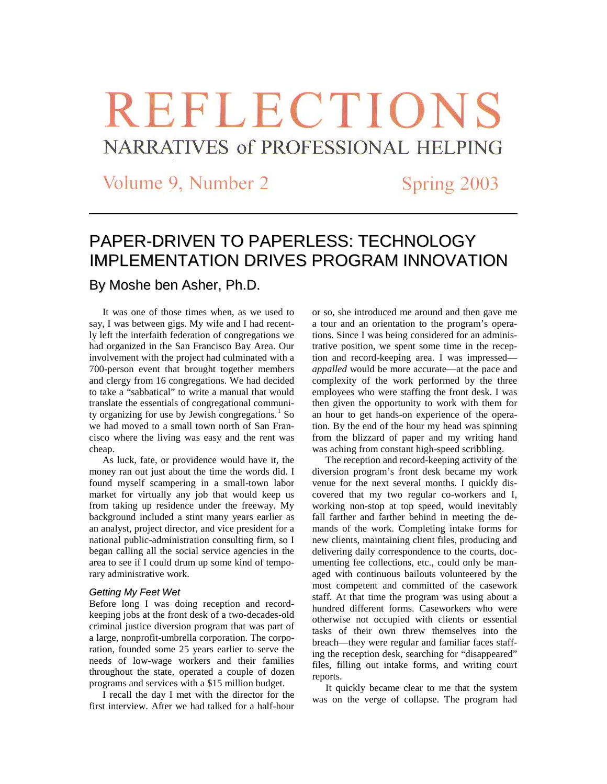# **REFLECTIONS** NARRATIVES of PROFESSIONAL HELPING

Volume 9, Number 2

Spring 2003

## PAPER-DRIVEN TO PAPERLESS: TECHNOLOGY IMPLEMENTATION DRIVES PROGRAM INNOVATION

### By Moshe ben Asher, Ph.D.

It was one of those times when, as we used to say, I was between gigs. My wife and I had recently left the interfaith federation of congregations we had organized in the San Francisco Bay Area. Our involvement with the project had culminated with a 700-person event that brought together members and clergy from 16 congregations. We had decided to take a "sabbatical" to write a manual that would translate the essentials of congregational community organizing for use by Jewish congregations. $<sup>1</sup>$  $<sup>1</sup>$  $<sup>1</sup>$  So</sup> we had moved to a small town north of San Francisco where the living was easy and the rent was cheap.

As luck, fate, or providence would have it, the money ran out just about the time the words did. I found myself scampering in a small-town labor market for virtually any job that would keep us from taking up residence under the freeway. My background included a stint many years earlier as an analyst, project director, and vice president for a national public-administration consulting firm, so I began calling all the social service agencies in the area to see if I could drum up some kind of temporary administrative work.

#### *Getting My Feet Wet*

Before long I was doing reception and recordkeeping jobs at the front desk of a two-decades-old criminal justice diversion program that was part of a large, nonprofit-umbrella corporation. The corporation, founded some 25 years earlier to serve the needs of low-wage workers and their families throughout the state, operated a couple of dozen programs and services with a \$15 million budget.

I recall the day I met with the director for the first interview. After we had talked for a half-hour

or so, she introduced me around and then gave me a tour and an orientation to the program's operations. Since I was being considered for an administrative position, we spent some time in the reception and record-keeping area. I was impressed *appalled* would be more accurate—at the pace and complexity of the work performed by the three employees who were staffing the front desk. I was then given the opportunity to work with them for an hour to get hands-on experience of the operation. By the end of the hour my head was spinning from the blizzard of paper and my writing hand was aching from constant high-speed scribbling.

The reception and record-keeping activity of the diversion program's front desk became my work venue for the next several months. I quickly discovered that my two regular co-workers and I, working non-stop at top speed, would inevitably fall farther and farther behind in meeting the demands of the work. Completing intake forms for new clients, maintaining client files, producing and delivering daily correspondence to the courts, documenting fee collections, etc., could only be managed with continuous bailouts volunteered by the most competent and committed of the casework staff. At that time the program was using about a hundred different forms. Caseworkers who were otherwise not occupied with clients or essential tasks of their own threw themselves into the breach—they were regular and familiar faces staffing the reception desk, searching for "disappeared" files, filling out intake forms, and writing court reports.

It quickly became clear to me that the system was on the verge of collapse. The program had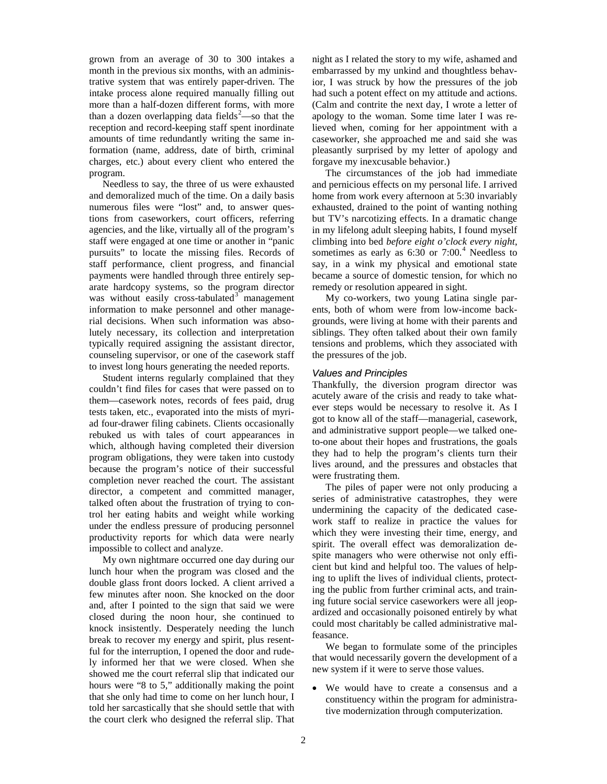grown from an average of 30 to 300 intakes a month in the previous six months, with an administrative system that was entirely paper-driven. The intake process alone required manually filling out more than a half-dozen different forms, with more than a dozen overlapping data fields<sup>[2](#page-6-1)</sup>—so that the reception and record-keeping staff spent inordinate amounts of time redundantly writing the same information (name, address, date of birth, criminal charges, etc.) about every client who entered the program.

Needless to say, the three of us were exhausted and demoralized much of the time. On a daily basis numerous files were "lost" and, to answer questions from caseworkers, court officers, referring agencies, and the like, virtually all of the program's staff were engaged at one time or another in "panic pursuits" to locate the missing files. Records of staff performance, client progress, and financial payments were handled through three entirely separate hardcopy systems, so the program director was without easily cross-tabulated<sup>[3](#page-6-2)</sup> management information to make personnel and other managerial decisions. When such information was absolutely necessary, its collection and interpretation typically required assigning the assistant director, counseling supervisor, or one of the casework staff to invest long hours generating the needed reports.

Student interns regularly complained that they couldn't find files for cases that were passed on to them—casework notes, records of fees paid, drug tests taken, etc., evaporated into the mists of myriad four-drawer filing cabinets. Clients occasionally rebuked us with tales of court appearances in which, although having completed their diversion program obligations, they were taken into custody because the program's notice of their successful completion never reached the court. The assistant director, a competent and committed manager, talked often about the frustration of trying to control her eating habits and weight while working under the endless pressure of producing personnel productivity reports for which data were nearly impossible to collect and analyze.

My own nightmare occurred one day during our lunch hour when the program was closed and the double glass front doors locked. A client arrived a few minutes after noon. She knocked on the door and, after I pointed to the sign that said we were closed during the noon hour, she continued to knock insistently. Desperately needing the lunch break to recover my energy and spirit, plus resentful for the interruption, I opened the door and rudely informed her that we were closed. When she showed me the court referral slip that indicated our hours were "8 to 5," additionally making the point that she only had time to come on her lunch hour, I told her sarcastically that she should settle that with the court clerk who designed the referral slip. That

night as I related the story to my wife, ashamed and embarrassed by my unkind and thoughtless behavior, I was struck by how the pressures of the job had such a potent effect on my attitude and actions. (Calm and contrite the next day, I wrote a letter of apology to the woman. Some time later I was relieved when, coming for her appointment with a caseworker, she approached me and said she was pleasantly surprised by my letter of apology and forgave my inexcusable behavior.)

The circumstances of the job had immediate and pernicious effects on my personal life. I arrived home from work every afternoon at 5:30 invariably exhausted, drained to the point of wanting nothing but TV's narcotizing effects. In a dramatic change in my lifelong adult sleeping habits, I found myself climbing into bed *before eight o'clock every night*, sometimes as early as  $6:30$  or  $7:00<sup>4</sup>$  $7:00<sup>4</sup>$  $7:00<sup>4</sup>$  Needless to say, in a wink my physical and emotional state became a source of domestic tension, for which no remedy or resolution appeared in sight.

My co-workers, two young Latina single parents, both of whom were from low-income backgrounds, were living at home with their parents and siblings. They often talked about their own family tensions and problems, which they associated with the pressures of the job.

#### *Values and Principles*

Thankfully, the diversion program director was acutely aware of the crisis and ready to take whatever steps would be necessary to resolve it. As I got to know all of the staff—managerial, casework, and administrative support people—we talked oneto-one about their hopes and frustrations, the goals they had to help the program's clients turn their lives around, and the pressures and obstacles that were frustrating them.

The piles of paper were not only producing a series of administrative catastrophes, they were undermining the capacity of the dedicated casework staff to realize in practice the values for which they were investing their time, energy, and spirit. The overall effect was demoralization despite managers who were otherwise not only efficient but kind and helpful too. The values of helping to uplift the lives of individual clients, protecting the public from further criminal acts, and training future social service caseworkers were all jeopardized and occasionally poisoned entirely by what could most charitably be called administrative malfeasance.

We began to formulate some of the principles that would necessarily govern the development of a new system if it were to serve those values.

• We would have to create a consensus and a constituency within the program for administrative modernization through computerization.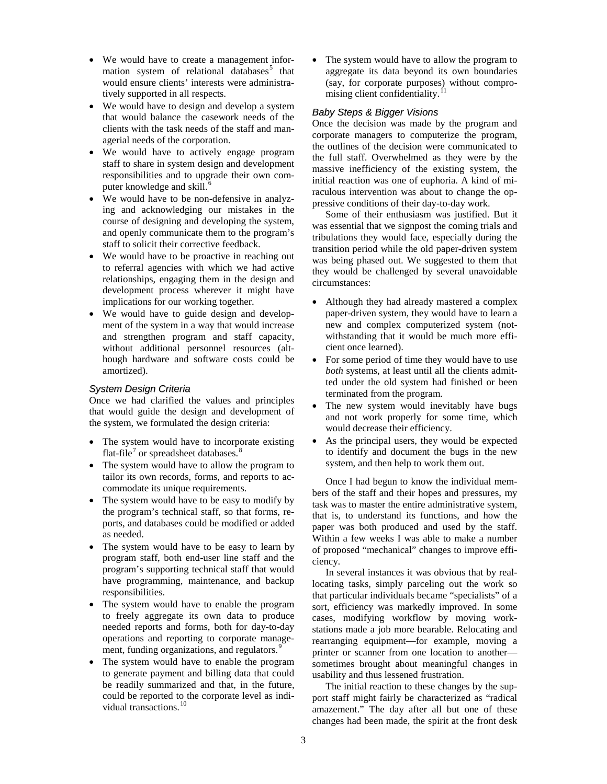- We would have to create a management infor-mation system of relational databases<sup>[5](#page-6-4)</sup> that would ensure clients' interests were administratively supported in all respects.
- We would have to design and develop a system that would balance the casework needs of the clients with the task needs of the staff and managerial needs of the corporation.
- We would have to actively engage program staff to share in system design and development responsibilities and to upgrade their own com-puter knowledge and skill.<sup>[6](#page-6-5)</sup>
- We would have to be non-defensive in analyzing and acknowledging our mistakes in the course of designing and developing the system, and openly communicate them to the program's staff to solicit their corrective feedback.
- We would have to be proactive in reaching out to referral agencies with which we had active relationships, engaging them in the design and development process wherever it might have implications for our working together.
- We would have to guide design and development of the system in a way that would increase and strengthen program and staff capacity, without additional personnel resources (although hardware and software costs could be amortized).

#### *System Design Criteria*

Once we had clarified the values and principles that would guide the design and development of the system, we formulated the design criteria:

- The system would have to incorporate existing flat-file<sup> $\prime$ </sup> or spreadsheet databases.<sup>[8](#page-6-7)</sup>
- The system would have to allow the program to tailor its own records, forms, and reports to accommodate its unique requirements.
- The system would have to be easy to modify by the program's technical staff, so that forms, reports, and databases could be modified or added as needed.
- The system would have to be easy to learn by program staff, both end-user line staff and the program's supporting technical staff that would have programming, maintenance, and backup responsibilities.
- The system would have to enable the program to freely aggregate its own data to produce needed reports and forms, both for day-to-day operations and reporting to corporate manage-ment, funding organizations, and regulators.<sup>[9](#page-6-8)</sup>
- The system would have to enable the program to generate payment and billing data that could be readily summarized and that, in the future, could be reported to the corporate level as indi-vidual transactions.<sup>[10](#page-6-9)</sup>

The system would have to allow the program to aggregate its data beyond its own boundaries (say, for corporate purposes) without compromising client confidentiality.

#### *Baby Steps & Bigger Visions*

Once the decision was made by the program and corporate managers to computerize the program, the outlines of the decision were communicated to the full staff. Overwhelmed as they were by the massive inefficiency of the existing system, the initial reaction was one of euphoria. A kind of miraculous intervention was about to change the oppressive conditions of their day-to-day work.

Some of their enthusiasm was justified. But it was essential that we signpost the coming trials and tribulations they would face, especially during the transition period while the old paper-driven system was being phased out. We suggested to them that they would be challenged by several unavoidable circumstances:

- Although they had already mastered a complex paper-driven system, they would have to learn a new and complex computerized system (notwithstanding that it would be much more efficient once learned).
- For some period of time they would have to use *both* systems, at least until all the clients admitted under the old system had finished or been terminated from the program.
- The new system would inevitably have bugs and not work properly for some time, which would decrease their efficiency.
- As the principal users, they would be expected to identify and document the bugs in the new system, and then help to work them out.

Once I had begun to know the individual members of the staff and their hopes and pressures, my task was to master the entire administrative system, that is, to understand its functions, and how the paper was both produced and used by the staff. Within a few weeks I was able to make a number of proposed "mechanical" changes to improve efficiency.

In several instances it was obvious that by reallocating tasks, simply parceling out the work so that particular individuals became "specialists" of a sort, efficiency was markedly improved. In some cases, modifying workflow by moving workstations made a job more bearable. Relocating and rearranging equipment—for example, moving a printer or scanner from one location to another sometimes brought about meaningful changes in usability and thus lessened frustration.

The initial reaction to these changes by the support staff might fairly be characterized as "radical amazement." The day after all but one of these changes had been made, the spirit at the front desk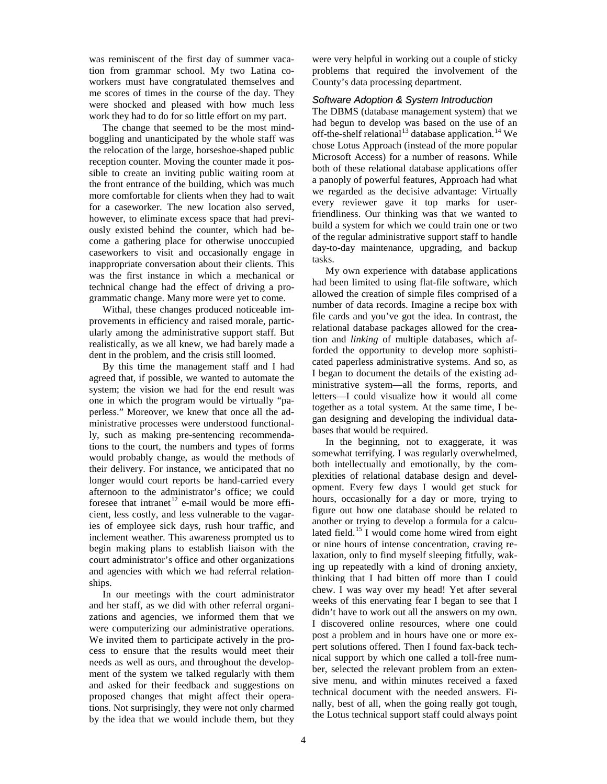was reminiscent of the first day of summer vacation from grammar school. My two Latina coworkers must have congratulated themselves and me scores of times in the course of the day. They were shocked and pleased with how much less work they had to do for so little effort on my part.

The change that seemed to be the most mindboggling and unanticipated by the whole staff was the relocation of the large, horseshoe-shaped public reception counter. Moving the counter made it possible to create an inviting public waiting room at the front entrance of the building, which was much more comfortable for clients when they had to wait for a caseworker. The new location also served, however, to eliminate excess space that had previously existed behind the counter, which had become a gathering place for otherwise unoccupied caseworkers to visit and occasionally engage in inappropriate conversation about their clients. This was the first instance in which a mechanical or technical change had the effect of driving a programmatic change. Many more were yet to come.

Withal, these changes produced noticeable improvements in efficiency and raised morale, particularly among the administrative support staff. But realistically, as we all knew, we had barely made a dent in the problem, and the crisis still loomed.

By this time the management staff and I had agreed that, if possible, we wanted to automate the system; the vision we had for the end result was one in which the program would be virtually "paperless." Moreover, we knew that once all the administrative processes were understood functionally, such as making pre-sentencing recommendations to the court, the numbers and types of forms would probably change, as would the methods of their delivery. For instance, we anticipated that no longer would court reports be hand-carried every afternoon to the administrator's office; we could foresee that intranet<sup>[12](#page-6-11)</sup> e-mail would be more efficient, less costly, and less vulnerable to the vagaries of employee sick days, rush hour traffic, and inclement weather. This awareness prompted us to begin making plans to establish liaison with the court administrator's office and other organizations and agencies with which we had referral relationships.

In our meetings with the court administrator and her staff, as we did with other referral organizations and agencies, we informed them that we were computerizing our administrative operations. We invited them to participate actively in the process to ensure that the results would meet their needs as well as ours, and throughout the development of the system we talked regularly with them and asked for their feedback and suggestions on proposed changes that might affect their operations. Not surprisingly, they were not only charmed by the idea that we would include them, but they

were very helpful in working out a couple of sticky problems that required the involvement of the County's data processing department.

#### *Software Adoption & System Introduction*

The DBMS (database management system) that we had begun to develop was based on the use of an off-the-shelf relational<sup>[13](#page-6-12)</sup> database application.<sup>[14](#page-6-13)</sup> We chose Lotus Approach (instead of the more popular Microsoft Access) for a number of reasons. While both of these relational database applications offer a panoply of powerful features, Approach had what we regarded as the decisive advantage: Virtually every reviewer gave it top marks for userfriendliness. Our thinking was that we wanted to build a system for which we could train one or two of the regular administrative support staff to handle day-to-day maintenance, upgrading, and backup tasks.

My own experience with database applications had been limited to using flat-file software, which allowed the creation of simple files comprised of a number of data records. Imagine a recipe box with file cards and you've got the idea. In contrast, the relational database packages allowed for the creation and *linking* of multiple databases, which afforded the opportunity to develop more sophisticated paperless administrative systems. And so, as I began to document the details of the existing administrative system—all the forms, reports, and letters—I could visualize how it would all come together as a total system. At the same time, I began designing and developing the individual databases that would be required.

In the beginning, not to exaggerate, it was somewhat terrifying. I was regularly overwhelmed, both intellectually and emotionally, by the complexities of relational database design and development. Every few days I would get stuck for hours, occasionally for a day or more, trying to figure out how one database should be related to another or trying to develop a formula for a calcu-lated field.<sup>[15](#page-6-14)</sup> I would come home wired from eight or nine hours of intense concentration, craving relaxation, only to find myself sleeping fitfully, waking up repeatedly with a kind of droning anxiety, thinking that I had bitten off more than I could chew. I was way over my head! Yet after several weeks of this enervating fear I began to see that I didn't have to work out all the answers on my own. I discovered online resources, where one could post a problem and in hours have one or more expert solutions offered. Then I found fax-back technical support by which one called a toll-free number, selected the relevant problem from an extensive menu, and within minutes received a faxed technical document with the needed answers. Finally, best of all, when the going really got tough, the Lotus technical support staff could always point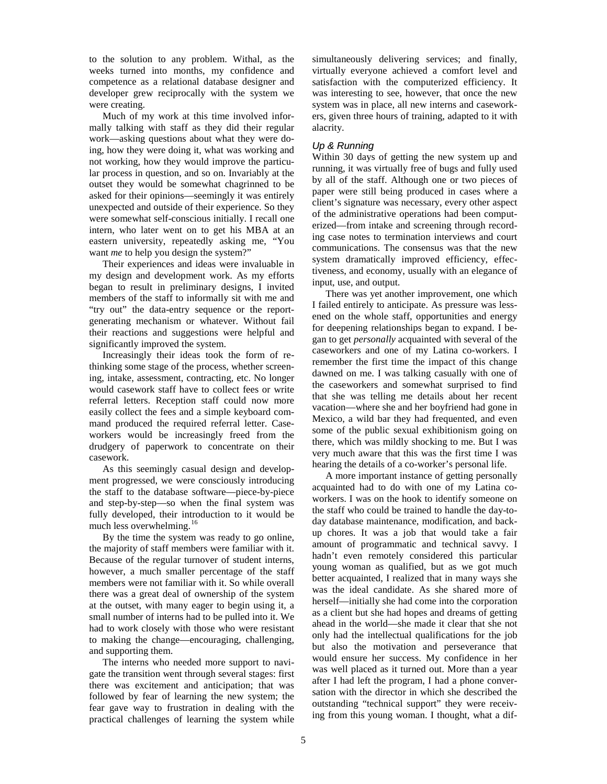to the solution to any problem. Withal, as the weeks turned into months, my confidence and competence as a relational database designer and developer grew reciprocally with the system we were creating.

Much of my work at this time involved informally talking with staff as they did their regular work—asking questions about what they were doing, how they were doing it, what was working and not working, how they would improve the particular process in question, and so on. Invariably at the outset they would be somewhat chagrinned to be asked for their opinions—seemingly it was entirely unexpected and outside of their experience. So they were somewhat self-conscious initially. I recall one intern, who later went on to get his MBA at an eastern university, repeatedly asking me, "You want *me* to help you design the system?"

Their experiences and ideas were invaluable in my design and development work. As my efforts began to result in preliminary designs, I invited members of the staff to informally sit with me and "try out" the data-entry sequence or the reportgenerating mechanism or whatever. Without fail their reactions and suggestions were helpful and significantly improved the system.

Increasingly their ideas took the form of rethinking some stage of the process, whether screening, intake, assessment, contracting, etc. No longer would casework staff have to collect fees or write referral letters. Reception staff could now more easily collect the fees and a simple keyboard command produced the required referral letter. Caseworkers would be increasingly freed from the drudgery of paperwork to concentrate on their casework.

As this seemingly casual design and development progressed, we were consciously introducing the staff to the database software—piece-by-piece and step-by-step—so when the final system was fully developed, their introduction to it would be much less overwhelming.<sup>[16](#page-6-15)</sup>

By the time the system was ready to go online, the majority of staff members were familiar with it. Because of the regular turnover of student interns, however, a much smaller percentage of the staff members were not familiar with it. So while overall there was a great deal of ownership of the system at the outset, with many eager to begin using it, a small number of interns had to be pulled into it. We had to work closely with those who were resistant to making the change—encouraging, challenging, and supporting them.

The interns who needed more support to navigate the transition went through several stages: first there was excitement and anticipation; that was followed by fear of learning the new system; the fear gave way to frustration in dealing with the practical challenges of learning the system while

simultaneously delivering services; and finally, virtually everyone achieved a comfort level and satisfaction with the computerized efficiency. It was interesting to see, however, that once the new system was in place, all new interns and caseworkers, given three hours of training, adapted to it with alacrity.

#### *Up & Running*

Within 30 days of getting the new system up and running, it was virtually free of bugs and fully used by all of the staff. Although one or two pieces of paper were still being produced in cases where a client's signature was necessary, every other aspect of the administrative operations had been computerized—from intake and screening through recording case notes to termination interviews and court communications. The consensus was that the new system dramatically improved efficiency, effectiveness, and economy, usually with an elegance of input, use, and output.

There was yet another improvement, one which I failed entirely to anticipate. As pressure was lessened on the whole staff, opportunities and energy for deepening relationships began to expand. I began to get *personally* acquainted with several of the caseworkers and one of my Latina co-workers. I remember the first time the impact of this change dawned on me. I was talking casually with one of the caseworkers and somewhat surprised to find that she was telling me details about her recent vacation—where she and her boyfriend had gone in Mexico, a wild bar they had frequented, and even some of the public sexual exhibitionism going on there, which was mildly shocking to me. But I was very much aware that this was the first time I was hearing the details of a co-worker's personal life.

A more important instance of getting personally acquainted had to do with one of my Latina coworkers. I was on the hook to identify someone on the staff who could be trained to handle the day-today database maintenance, modification, and backup chores. It was a job that would take a fair amount of programmatic and technical savvy. I hadn't even remotely considered this particular young woman as qualified, but as we got much better acquainted, I realized that in many ways she was the ideal candidate. As she shared more of herself—initially she had come into the corporation as a client but she had hopes and dreams of getting ahead in the world—she made it clear that she not only had the intellectual qualifications for the job but also the motivation and perseverance that would ensure her success. My confidence in her was well placed as it turned out. More than a year after I had left the program, I had a phone conversation with the director in which she described the outstanding "technical support" they were receiving from this young woman. I thought, what a dif-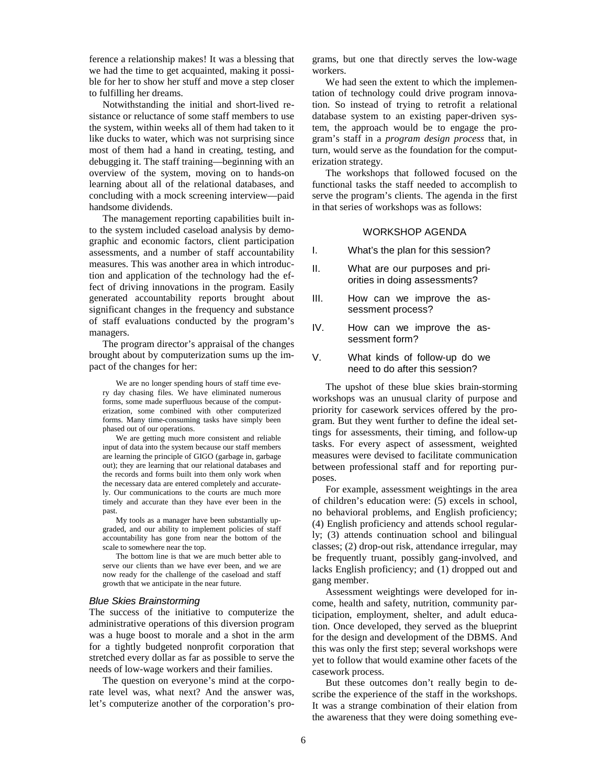ference a relationship makes! It was a blessing that we had the time to get acquainted, making it possible for her to show her stuff and move a step closer to fulfilling her dreams.

Notwithstanding the initial and short-lived resistance or reluctance of some staff members to use the system, within weeks all of them had taken to it like ducks to water, which was not surprising since most of them had a hand in creating, testing, and debugging it. The staff training—beginning with an overview of the system, moving on to hands-on learning about all of the relational databases, and concluding with a mock screening interview—paid handsome dividends.

The management reporting capabilities built into the system included caseload analysis by demographic and economic factors, client participation assessments, and a number of staff accountability measures. This was another area in which introduction and application of the technology had the effect of driving innovations in the program. Easily generated accountability reports brought about significant changes in the frequency and substance of staff evaluations conducted by the program's managers.

The program director's appraisal of the changes brought about by computerization sums up the impact of the changes for her:

We are no longer spending hours of staff time every day chasing files. We have eliminated numerous forms, some made superfluous because of the computerization, some combined with other computerized forms. Many time-consuming tasks have simply been phased out of our operations.

We are getting much more consistent and reliable input of data into the system because our staff members are learning the principle of GIGO (garbage in, garbage out); they are learning that our relational databases and the records and forms built into them only work when the necessary data are entered completely and accurately. Our communications to the courts are much more timely and accurate than they have ever been in the past.

My tools as a manager have been substantially upgraded, and our ability to implement policies of staff accountability has gone from near the bottom of the scale to somewhere near the top.

The bottom line is that we are much better able to serve our clients than we have ever been, and we are now ready for the challenge of the caseload and staff growth that we anticipate in the near future.

#### *Blue Skies Brainstorming*

The success of the initiative to computerize the administrative operations of this diversion program was a huge boost to morale and a shot in the arm for a tightly budgeted nonprofit corporation that stretched every dollar as far as possible to serve the needs of low-wage workers and their families.

The question on everyone's mind at the corporate level was, what next? And the answer was, let's computerize another of the corporation's programs, but one that directly serves the low-wage workers.

We had seen the extent to which the implementation of technology could drive program innovation. So instead of trying to retrofit a relational database system to an existing paper-driven system, the approach would be to engage the program's staff in a *program design process* that, in turn, would serve as the foundation for the computerization strategy.

The workshops that followed focused on the functional tasks the staff needed to accomplish to serve the program's clients. The agenda in the first in that series of workshops was as follows:

#### WORKSHOP AGENDA

I. What's the plan for this session?

- II. What are our purposes and priorities in doing assessments?
- III. How can we improve the assessment process?
- IV. How can we improve the assessment form?
- V. What kinds of follow-up do we need to do after this session?

The upshot of these blue skies brain-storming workshops was an unusual clarity of purpose and priority for casework services offered by the program. But they went further to define the ideal settings for assessments, their timing, and follow-up tasks. For every aspect of assessment, weighted measures were devised to facilitate communication between professional staff and for reporting purposes.

For example, assessment weightings in the area of children's education were: (5) excels in school, no behavioral problems, and English proficiency; (4) English proficiency and attends school regularly; (3) attends continuation school and bilingual classes; (2) drop-out risk, attendance irregular, may be frequently truant, possibly gang-involved, and lacks English proficiency; and (1) dropped out and gang member.

Assessment weightings were developed for income, health and safety, nutrition, community participation, employment, shelter, and adult education. Once developed, they served as the blueprint for the design and development of the DBMS. And this was only the first step; several workshops were yet to follow that would examine other facets of the casework process.

But these outcomes don't really begin to describe the experience of the staff in the workshops. It was a strange combination of their elation from the awareness that they were doing something eve